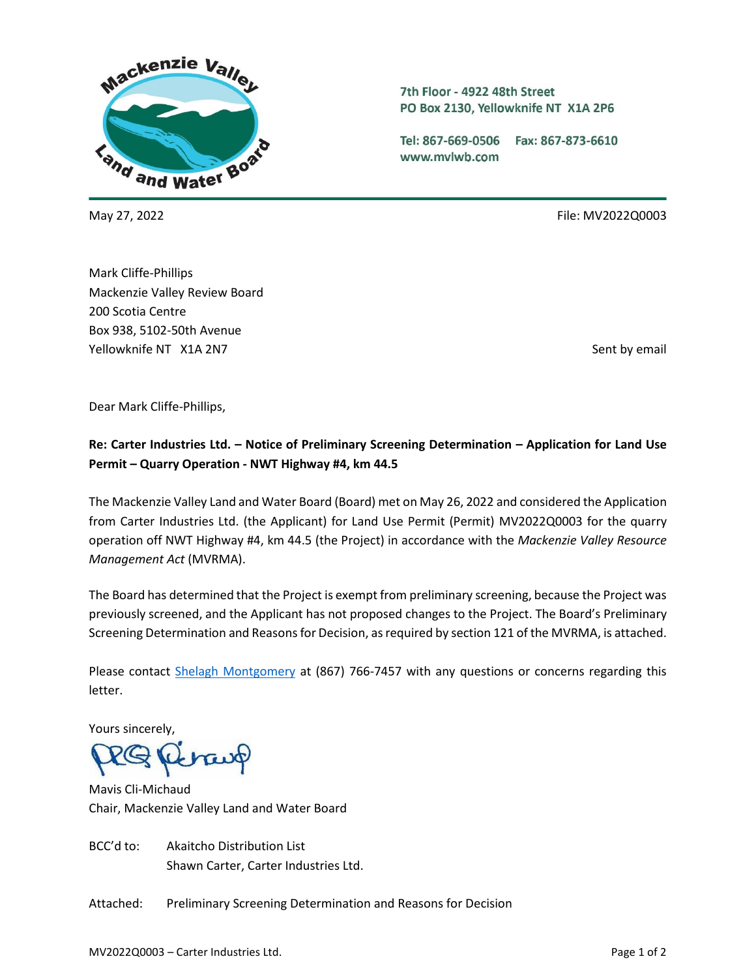

7th Floor - 4922 48th Street PO Box 2130, Yellowknife NT X1A 2P6

Tel: 867-669-0506 Fax: 867-873-6610 www.mvlwb.com

May 27, 2022 File: MV2022Q0003

Mark Cliffe-Phillips Mackenzie Valley Review Board 200 Scotia Centre Box 938, 5102-50th Avenue Yellowknife NT X1A 2N7 Sent by email and the sent by email sent by email sent by email sent by email

Dear Mark Cliffe-Phillips,

# **Re: Carter Industries Ltd. – Notice of Preliminary Screening Determination – Application for Land Use Permit – Quarry Operation - NWT Highway #4, km 44.5**

The Mackenzie Valley Land and Water Board (Board) met on May 26, 2022 and considered the Application from Carter Industries Ltd. (the Applicant) for Land Use Permit (Permit) MV2022Q0003 for the quarry operation off NWT Highway #4, km 44.5 (the Project) in accordance with the *Mackenzie Valley Resource Management Act* (MVRMA).

The Board has determined that the Project is exempt from preliminary screening, because the Project was previously screened, and the Applicant has not proposed changes to the Project. The Board's Preliminary Screening Determination and Reasons for Decision, as required by section 121 of the MVRMA, is attached.

Please contact [Shelagh Montgomery](mailto:smontgomery@mvlwb.com) at (867) 766-7457 with any questions or concerns regarding this letter.

Yours sincerely,

Mavis Cli-Michaud Chair, Mackenzie Valley Land and Water Board

BCC'd to: Akaitcho Distribution List Shawn Carter, Carter Industries Ltd.

Attached: Preliminary Screening Determination and Reasons for Decision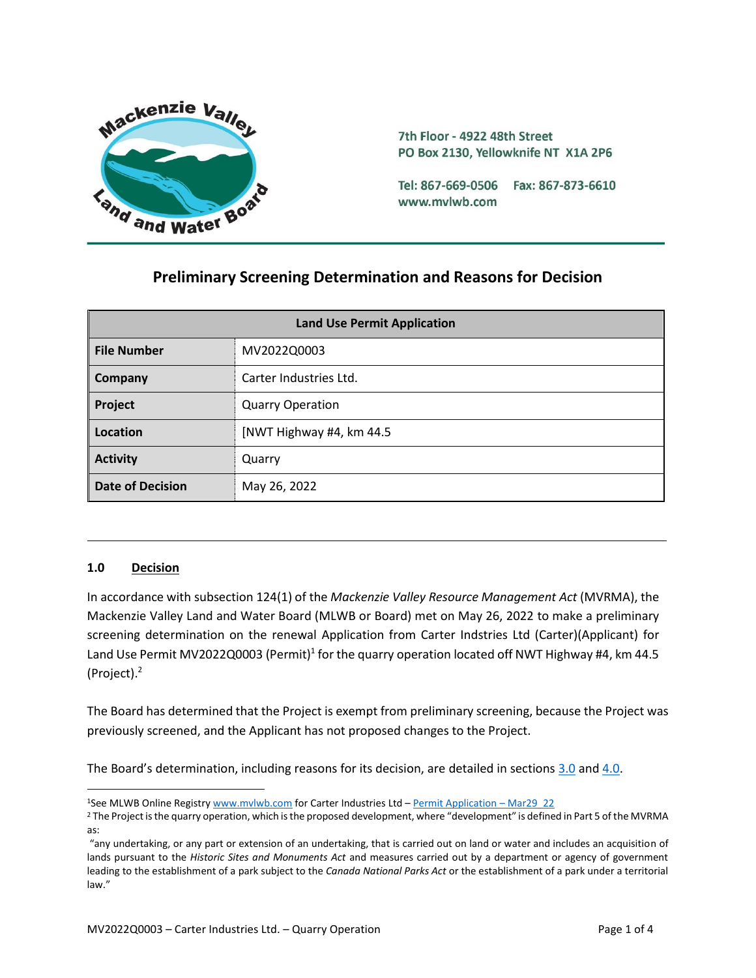

7th Floor - 4922 48th Street PO Box 2130, Yellowknife NT X1A 2P6

Tel: 867-669-0506 Fax: 867-873-6610 www.mvlwb.com

# **Preliminary Screening Determination and Reasons for Decision**

| <b>Land Use Permit Application</b> |                          |
|------------------------------------|--------------------------|
| <b>File Number</b>                 | MV2022Q0003              |
| Company                            | Carter Industries Ltd.   |
| Project                            | <b>Quarry Operation</b>  |
| Location                           | [NWT Highway #4, km 44.5 |
| <b>Activity</b>                    | Quarry                   |
| <b>Date of Decision</b>            | May 26, 2022             |

#### **1.0 Decision**

In accordance with subsection 124(1) of the *Mackenzie Valley Resource Management Act* (MVRMA), the Mackenzie Valley Land and Water Board (MLWB or Board) met on May 26, 2022 to make a preliminary screening determination on the renewal Application from Carter Indstries Ltd (Carter)(Applicant) for Land Use Permit MV2022Q0003 (Permit)<sup>1</sup> for the quarry operation located off NWT Highway #4, km 44.5 (Project). 2

The Board has determined that the Project is exempt from preliminary screening, because the Project was previously screened, and the Applicant has not proposed changes to the Project.

The Board's determination, including reasons for its decision, are detailed in sections [3.0](#page-2-0) and [4.0.](#page-3-0)

<sup>1</sup>See MLWB Online Registr[y www.mvlwb.com](https://mvlwb.com/) for Carter Industries Ltd – [Permit Application](https://registry.mvlwb.ca/Documents/MV2022Q0003/Carters%20-%20Application%20-%20Mar29_22.pdf) – Mar29\_22

<sup>&</sup>lt;sup>2</sup> The Project is the quarry operation, which is the proposed development, where "development" is defined in Part 5 of the MVRMA as:

<sup>&</sup>quot;any undertaking, or any part or extension of an undertaking, that is carried out on land or water and includes an acquisition of lands pursuant to the *Historic Sites and Monuments Act* and measures carried out by a department or agency of government leading to the establishment of a park subject to the *Canada National Parks Act* or the establishment of a park under a territorial law."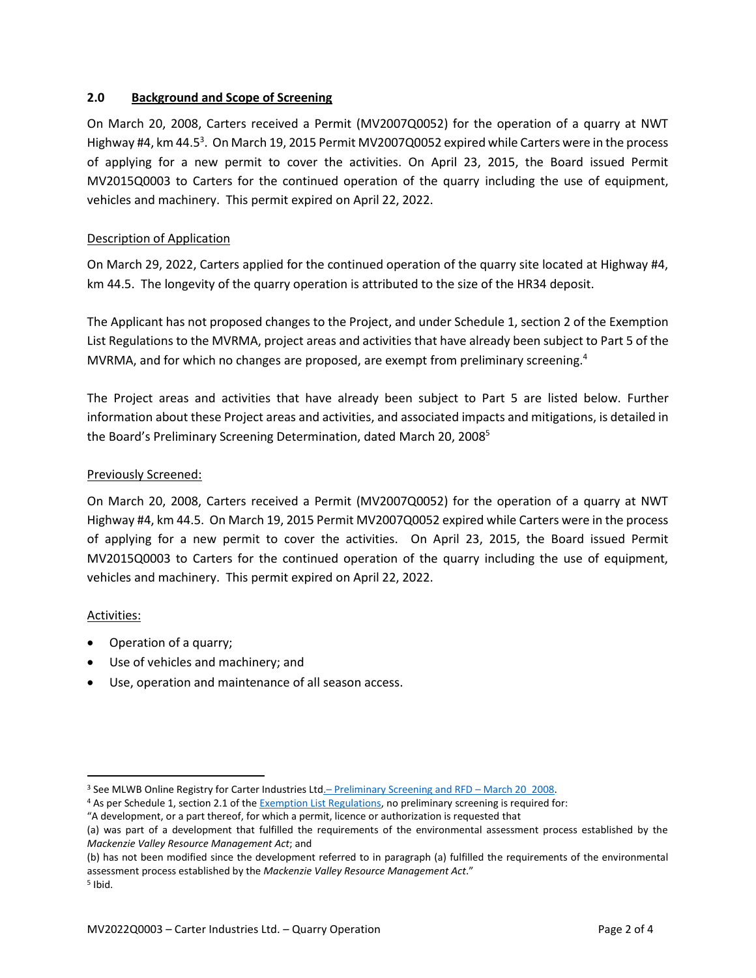## <span id="page-2-0"></span>**2.0 Background and Scope of Screening**

On March 20, 2008, Carters received a Permit (MV2007Q0052) for the operation of a quarry at NWT Highway #4, km 44.5<sup>3</sup>. On March 19, 2015 Permit MV2007Q0052 expired while Carters were in the process of applying for a new permit to cover the activities. On April 23, 2015, the Board issued Permit MV2015Q0003 to Carters for the continued operation of the quarry including the use of equipment, vehicles and machinery. This permit expired on April 22, 2022.

## Description of Application

On March 29, 2022, Carters applied for the continued operation of the quarry site located at Highway #4, km 44.5. The longevity of the quarry operation is attributed to the size of the HR34 deposit.

The Applicant has not proposed changes to the Project, and under Schedule 1, section 2 of the Exemption List Regulations to the MVRMA, project areas and activities that have already been subject to Part 5 of the MVRMA, and for which no changes are proposed, are exempt from preliminary screening.<sup>4</sup>

The Project areas and activities that have already been subject to Part 5 are listed below. Further information about these Project areas and activities, and associated impacts and mitigations, is detailed in the Board's Preliminary Screening Determination, dated March 20, 2008<sup>5</sup>

#### Previously Screened:

On March 20, 2008, Carters received a Permit (MV2007Q0052) for the operation of a quarry at NWT Highway #4, km 44.5. On March 19, 2015 Permit MV2007Q0052 expired while Carters were in the process of applying for a new permit to cover the activities. On April 23, 2015, the Board issued Permit MV2015Q0003 to Carters for the continued operation of the quarry including the use of equipment, vehicles and machinery. This permit expired on April 22, 2022.

#### Activities:

- Operation of a quarry;
- Use of vehicles and machinery; and
- Use, operation and maintenance of all season access.

<sup>&</sup>lt;sup>3</sup> See MLWB Online Registry for Carter Industries Ltd.– [Preliminary Screening and RFD](https://registry.mvlwb.ca/Documents/MV2007Q0052/MV2007Q0052%20-%20Preliminary%20Screening%20-%2020Mar-08.pdf) – March 20 2008.

<sup>4</sup> As per Schedule 1, section 2.1 of th[e Exemption List Regulations,](http://laws-lois.justice.gc.ca/PDF/SOR-99-13.pdf) no preliminary screening is required for:

<sup>&</sup>quot;A development, or a part thereof, for which a permit, licence or authorization is requested that

<sup>(</sup>a) was part of a development that fulfilled the requirements of the environmental assessment process established by the *Mackenzie Valley Resource Management Act*; and

<sup>(</sup>b) has not been modified since the development referred to in paragraph (a) fulfilled the requirements of the environmental assessment process established by the *Mackenzie Valley Resource Management Act*."

<sup>5</sup> Ibid.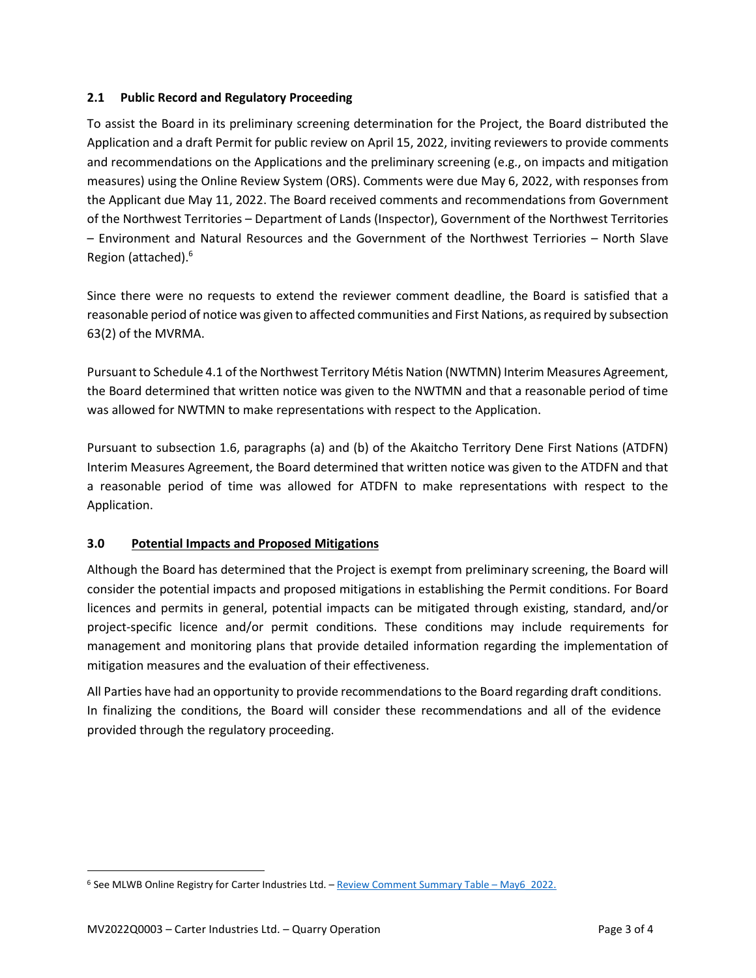## **2.1 Public Record and Regulatory Proceeding**

To assist the Board in its preliminary screening determination for the Project, the Board distributed the Application and a draft Permit for public review on April 15, 2022, inviting reviewers to provide comments and recommendations on the Applications and the preliminary screening (e.g., on impacts and mitigation measures) using the Online Review System (ORS). Comments were due May 6, 2022, with responses from the Applicant due May 11, 2022. The Board received comments and recommendations from Government of the Northwest Territories – Department of Lands (Inspector), Government of the Northwest Territories – Environment and Natural Resources and the Government of the Northwest Terriories – North Slave Region (attached). 6

Since there were no requests to extend the reviewer comment deadline, the Board is satisfied that a reasonable period of notice was given to affected communities and First Nations, as required by subsection 63(2) of the MVRMA.

Pursuant to Schedule 4.1 of the Northwest Territory Métis Nation (NWTMN) Interim Measures Agreement, the Board determined that written notice was given to the NWTMN and that a reasonable period of time was allowed for NWTMN to make representations with respect to the Application.

Pursuant to subsection 1.6, paragraphs (a) and (b) of the Akaitcho Territory Dene First Nations (ATDFN) Interim Measures Agreement, the Board determined that written notice was given to the ATDFN and that a reasonable period of time was allowed for ATDFN to make representations with respect to the Application.

# <span id="page-3-0"></span>**3.0 Potential Impacts and Proposed Mitigations**

Although the Board has determined that the Project is exempt from preliminary screening, the Board will consider the potential impacts and proposed mitigations in establishing the Permit conditions. For Board licences and permits in general, potential impacts can be mitigated through existing, standard, and/or project-specific licence and/or permit conditions. These conditions may include requirements for management and monitoring plans that provide detailed information regarding the implementation of mitigation measures and the evaluation of their effectiveness.

All Parties have had an opportunity to provide recommendations to the Board regarding draft conditions. In finalizing the conditions, the Board will consider these recommendations and all of the evidence provided through the regulatory proceeding.

<sup>6</sup> See MLWB Online Registry for Carter Industries Ltd. – [Review Comment Summary Table](https://new.onlinereviewsystem.ca/review/A4B135D6-76BA-EC11-997E-CC60C843C6BF) – May6\_2022.